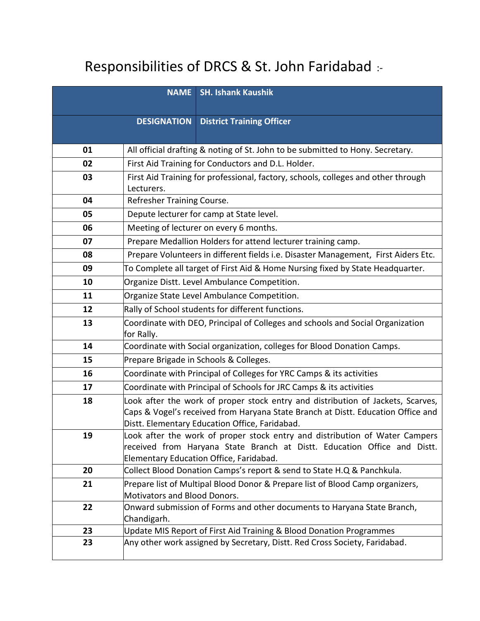## Responsibilities of DRCS & St. John Faridabad :-

|    | <b>NAME</b>                  | <b>SH. Ishank Kaushik</b>                                                                                                                                           |
|----|------------------------------|---------------------------------------------------------------------------------------------------------------------------------------------------------------------|
|    | <b>DESIGNATION</b>           | <b>District Training Officer</b>                                                                                                                                    |
|    |                              |                                                                                                                                                                     |
| 01 |                              | All official drafting & noting of St. John to be submitted to Hony. Secretary.                                                                                      |
| 02 |                              | First Aid Training for Conductors and D.L. Holder.                                                                                                                  |
| 03 |                              | First Aid Training for professional, factory, schools, colleges and other through                                                                                   |
|    | Lecturers.                   |                                                                                                                                                                     |
| 04 | Refresher Training Course.   |                                                                                                                                                                     |
| 05 |                              | Depute lecturer for camp at State level.                                                                                                                            |
| 06 |                              | Meeting of lecturer on every 6 months.                                                                                                                              |
| 07 |                              | Prepare Medallion Holders for attend lecturer training camp.                                                                                                        |
| 08 |                              | Prepare Volunteers in different fields i.e. Disaster Management, First Aiders Etc.                                                                                  |
| 09 |                              | To Complete all target of First Aid & Home Nursing fixed by State Headquarter.                                                                                      |
| 10 |                              | Organize Distt. Level Ambulance Competition.                                                                                                                        |
| 11 |                              | Organize State Level Ambulance Competition.                                                                                                                         |
| 12 |                              | Rally of School students for different functions.                                                                                                                   |
| 13 | for Rally.                   | Coordinate with DEO, Principal of Colleges and schools and Social Organization                                                                                      |
| 14 |                              | Coordinate with Social organization, colleges for Blood Donation Camps.                                                                                             |
| 15 |                              | Prepare Brigade in Schools & Colleges.                                                                                                                              |
| 16 |                              | Coordinate with Principal of Colleges for YRC Camps & its activities                                                                                                |
| 17 |                              | Coordinate with Principal of Schools for JRC Camps & its activities                                                                                                 |
| 18 |                              | Look after the work of proper stock entry and distribution of Jackets, Scarves,<br>Caps & Vogel's received from Haryana State Branch at Distt. Education Office and |
|    |                              | Distt. Elementary Education Office, Faridabad.                                                                                                                      |
| 19 |                              | Look after the work of proper stock entry and distribution of Water Campers                                                                                         |
|    |                              | received from Haryana State Branch at Distt. Education Office and Distt.                                                                                            |
|    |                              | Elementary Education Office, Faridabad.                                                                                                                             |
| 20 |                              | Collect Blood Donation Camps's report & send to State H.Q & Panchkula.                                                                                              |
| 21 | Motivators and Blood Donors. | Prepare list of Multipal Blood Donor & Prepare list of Blood Camp organizers,                                                                                       |
| 22 |                              | Onward submission of Forms and other documents to Haryana State Branch,                                                                                             |
|    | Chandigarh.                  |                                                                                                                                                                     |
| 23 |                              | Update MIS Report of First Aid Training & Blood Donation Programmes                                                                                                 |
| 23 |                              | Any other work assigned by Secretary, Distt. Red Cross Society, Faridabad.                                                                                          |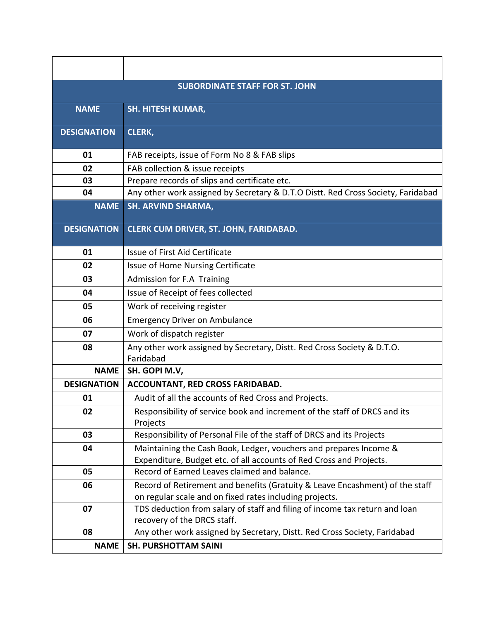| <b>SUBORDINATE STAFF FOR ST. JOHN</b> |                                                                                                                                          |  |
|---------------------------------------|------------------------------------------------------------------------------------------------------------------------------------------|--|
| <b>NAME</b>                           | <b>SH. HITESH KUMAR,</b>                                                                                                                 |  |
| <b>DESIGNATION</b>                    | <b>CLERK,</b>                                                                                                                            |  |
| 01                                    | FAB receipts, issue of Form No 8 & FAB slips                                                                                             |  |
| 02                                    | FAB collection & issue receipts                                                                                                          |  |
| 03                                    | Prepare records of slips and certificate etc.                                                                                            |  |
| 04                                    | Any other work assigned by Secretary & D.T.O Distt. Red Cross Society, Faridabad                                                         |  |
| <b>NAME</b>                           | <b>SH. ARVIND SHARMA,</b>                                                                                                                |  |
| <b>DESIGNATION</b>                    | CLERK CUM DRIVER, ST. JOHN, FARIDABAD.                                                                                                   |  |
| 01                                    | Issue of First Aid Certificate                                                                                                           |  |
| 02                                    | Issue of Home Nursing Certificate                                                                                                        |  |
| 03                                    | Admission for F.A Training                                                                                                               |  |
| 04                                    | Issue of Receipt of fees collected                                                                                                       |  |
| 05                                    | Work of receiving register                                                                                                               |  |
| 06                                    | <b>Emergency Driver on Ambulance</b>                                                                                                     |  |
| 07                                    | Work of dispatch register                                                                                                                |  |
| 08                                    | Any other work assigned by Secretary, Distt. Red Cross Society & D.T.O.<br>Faridabad                                                     |  |
| <b>NAME</b>                           | SH. GOPI M.V,                                                                                                                            |  |
| <b>DESIGNATION</b>                    | ACCOUNTANT, RED CROSS FARIDABAD.                                                                                                         |  |
| 01                                    | Audit of all the accounts of Red Cross and Projects.                                                                                     |  |
| 02                                    | Responsibility of service book and increment of the staff of DRCS and its<br>Projects                                                    |  |
| 03                                    | Responsibility of Personal File of the staff of DRCS and its Projects                                                                    |  |
| 04                                    | Maintaining the Cash Book, Ledger, vouchers and prepares Income &<br>Expenditure, Budget etc. of all accounts of Red Cross and Projects. |  |
| 05                                    | Record of Earned Leaves claimed and balance.                                                                                             |  |
| 06                                    | Record of Retirement and benefits (Gratuity & Leave Encashment) of the staff                                                             |  |
|                                       | on regular scale and on fixed rates including projects.                                                                                  |  |
| 07                                    | TDS deduction from salary of staff and filing of income tax return and loan                                                              |  |
|                                       | recovery of the DRCS staff.                                                                                                              |  |
| 08                                    | Any other work assigned by Secretary, Distt. Red Cross Society, Faridabad                                                                |  |
| <b>NAME</b>                           | <b>SH. PURSHOTTAM SAINI</b>                                                                                                              |  |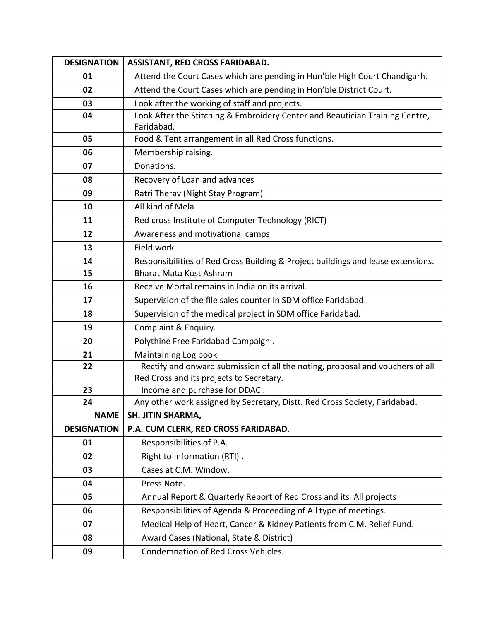| <b>DESIGNATION</b> | ASSISTANT, RED CROSS FARIDABAD.                                                  |
|--------------------|----------------------------------------------------------------------------------|
| 01                 | Attend the Court Cases which are pending in Hon'ble High Court Chandigarh.       |
| 02                 | Attend the Court Cases which are pending in Hon'ble District Court.              |
| 03                 | Look after the working of staff and projects.                                    |
| 04                 | Look After the Stitching & Embroidery Center and Beautician Training Centre,     |
|                    | Faridabad.                                                                       |
| 05                 | Food & Tent arrangement in all Red Cross functions.                              |
| 06                 | Membership raising.                                                              |
| 07                 | Donations.                                                                       |
| 08                 | Recovery of Loan and advances                                                    |
| 09                 | Ratri Therav (Night Stay Program)                                                |
| 10                 | All kind of Mela                                                                 |
| 11                 | Red cross Institute of Computer Technology (RICT)                                |
| 12                 | Awareness and motivational camps                                                 |
| 13                 | Field work                                                                       |
| 14                 | Responsibilities of Red Cross Building & Project buildings and lease extensions. |
| 15                 | <b>Bharat Mata Kust Ashram</b>                                                   |
| 16                 | Receive Mortal remains in India on its arrival.                                  |
| 17                 | Supervision of the file sales counter in SDM office Faridabad.                   |
| 18                 | Supervision of the medical project in SDM office Faridabad.                      |
| 19                 | Complaint & Enquiry.                                                             |
| 20                 | Polythine Free Faridabad Campaign.                                               |
| 21                 | Maintaining Log book                                                             |
| 22                 | Rectify and onward submission of all the noting, proposal and vouchers of all    |
|                    | Red Cross and its projects to Secretary.                                         |
| 23                 | Income and purchase for DDAC.                                                    |
| 24                 | Any other work assigned by Secretary, Distt. Red Cross Society, Faridabad.       |
| <b>NAME</b>        | <b>SH. JITIN SHARMA,</b>                                                         |
| <b>DESIGNATION</b> | P.A. CUM CLERK, RED CROSS FARIDABAD.                                             |
| 01                 | Responsibilities of P.A.                                                         |
| 02                 | Right to Information (RTI).                                                      |
| 03                 | Cases at C.M. Window.                                                            |
| 04                 | Press Note.                                                                      |
| 05                 | Annual Report & Quarterly Report of Red Cross and its All projects               |
| 06                 | Responsibilities of Agenda & Proceeding of All type of meetings.                 |
| 07                 | Medical Help of Heart, Cancer & Kidney Patients from C.M. Relief Fund.           |
| 08                 | Award Cases (National, State & District)                                         |
| 09                 | Condemnation of Red Cross Vehicles.                                              |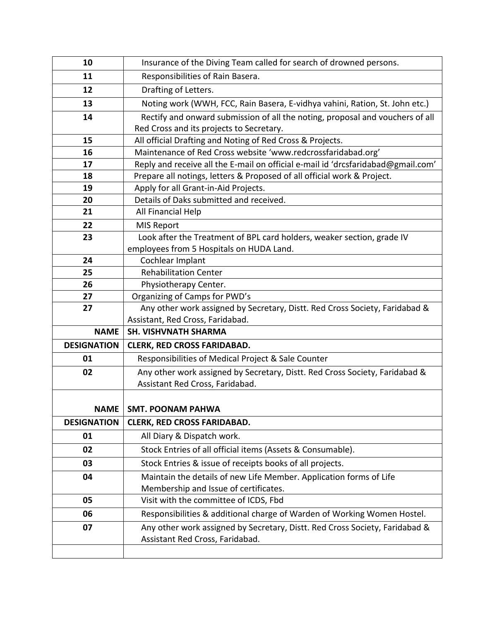| 10                 | Insurance of the Diving Team called for search of drowned persons.               |  |
|--------------------|----------------------------------------------------------------------------------|--|
| 11                 | Responsibilities of Rain Basera.                                                 |  |
| 12                 | Drafting of Letters.                                                             |  |
| 13                 | Noting work (WWH, FCC, Rain Basera, E-vidhya vahini, Ration, St. John etc.)      |  |
| 14                 | Rectify and onward submission of all the noting, proposal and vouchers of all    |  |
|                    | Red Cross and its projects to Secretary.                                         |  |
| 15                 | All official Drafting and Noting of Red Cross & Projects.                        |  |
| 16                 | Maintenance of Red Cross website 'www.redcrossfaridabad.org'                     |  |
| 17                 | Reply and receive all the E-mail on official e-mail id 'drcsfaridabad@gmail.com' |  |
| 18                 | Prepare all notings, letters & Proposed of all official work & Project.          |  |
| 19                 | Apply for all Grant-in-Aid Projects.                                             |  |
| 20                 | Details of Daks submitted and received.                                          |  |
| 21                 | All Financial Help                                                               |  |
| 22                 | <b>MIS Report</b>                                                                |  |
| 23                 | Look after the Treatment of BPL card holders, weaker section, grade IV           |  |
|                    | employees from 5 Hospitals on HUDA Land.                                         |  |
| 24                 | Cochlear Implant                                                                 |  |
| 25                 | <b>Rehabilitation Center</b>                                                     |  |
| 26                 | Physiotherapy Center.                                                            |  |
| 27                 | Organizing of Camps for PWD's                                                    |  |
|                    |                                                                                  |  |
| 27                 | Any other work assigned by Secretary, Distt. Red Cross Society, Faridabad &      |  |
|                    | Assistant, Red Cross, Faridabad.                                                 |  |
| <b>NAME</b>        | <b>SH. VISHVNATH SHARMA</b>                                                      |  |
| <b>DESIGNATION</b> | <b>CLERK, RED CROSS FARIDABAD.</b>                                               |  |
| 01                 | Responsibilities of Medical Project & Sale Counter                               |  |
| 02                 | Any other work assigned by Secretary, Distt. Red Cross Society, Faridabad &      |  |
|                    | Assistant Red Cross, Faridabad.                                                  |  |
|                    |                                                                                  |  |
| <b>NAME</b>        | <b>SMT. POONAM PAHWA</b>                                                         |  |
| <b>DESIGNATION</b> | <b>CLERK, RED CROSS FARIDABAD.</b>                                               |  |
| 01                 | All Diary & Dispatch work.                                                       |  |
| 02                 | Stock Entries of all official items (Assets & Consumable).                       |  |
| 03                 | Stock Entries & issue of receipts books of all projects.                         |  |
| 04                 | Maintain the details of new Life Member. Application forms of Life               |  |
|                    | Membership and Issue of certificates.                                            |  |
| 05                 | Visit with the committee of ICDS, Fbd                                            |  |
| 06                 | Responsibilities & additional charge of Warden of Working Women Hostel.          |  |
| 07                 | Any other work assigned by Secretary, Distt. Red Cross Society, Faridabad &      |  |
|                    | Assistant Red Cross, Faridabad.                                                  |  |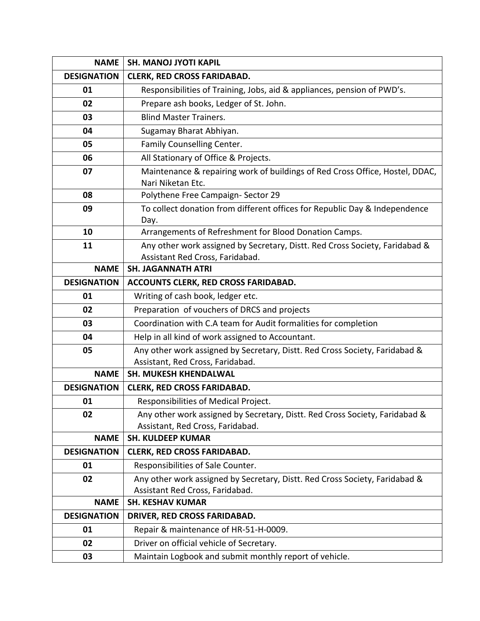| <b>NAME</b>        | <b>SH. MANOJ JYOTI KAPIL</b>                                                                                   |  |
|--------------------|----------------------------------------------------------------------------------------------------------------|--|
| <b>DESIGNATION</b> | <b>CLERK, RED CROSS FARIDABAD.</b>                                                                             |  |
| 01                 | Responsibilities of Training, Jobs, aid & appliances, pension of PWD's.                                        |  |
| 02                 | Prepare ash books, Ledger of St. John.                                                                         |  |
| 03                 | <b>Blind Master Trainers.</b>                                                                                  |  |
| 04                 | Sugamay Bharat Abhiyan.                                                                                        |  |
| 05                 | Family Counselling Center.                                                                                     |  |
| 06                 | All Stationary of Office & Projects.                                                                           |  |
| 07                 | Maintenance & repairing work of buildings of Red Cross Office, Hostel, DDAC,<br>Nari Niketan Etc.              |  |
| 08                 | Polythene Free Campaign-Sector 29                                                                              |  |
| 09                 | To collect donation from different offices for Republic Day & Independence<br>Day.                             |  |
| 10                 | Arrangements of Refreshment for Blood Donation Camps.                                                          |  |
| 11                 | Any other work assigned by Secretary, Distt. Red Cross Society, Faridabad &<br>Assistant Red Cross, Faridabad. |  |
| <b>NAME</b>        | <b>SH. JAGANNATH ATRI</b>                                                                                      |  |
| <b>DESIGNATION</b> | ACCOUNTS CLERK, RED CROSS FARIDABAD.                                                                           |  |
| 01                 | Writing of cash book, ledger etc.                                                                              |  |
| 02                 | Preparation of vouchers of DRCS and projects                                                                   |  |
| 03                 | Coordination with C.A team for Audit formalities for completion                                                |  |
| 04                 | Help in all kind of work assigned to Accountant.                                                               |  |
| 05                 | Any other work assigned by Secretary, Distt. Red Cross Society, Faridabad &                                    |  |
|                    | Assistant, Red Cross, Faridabad.                                                                               |  |
| <b>NAME</b>        | <b>SH. MUKESH KHENDALWAL</b>                                                                                   |  |
| <b>DESIGNATION</b> | <b>CLERK, RED CROSS FARIDABAD.</b>                                                                             |  |
| 01                 | Responsibilities of Medical Project.                                                                           |  |
| 02                 | Any other work assigned by Secretary, Distt. Red Cross Society, Faridabad &                                    |  |
|                    | Assistant, Red Cross, Faridabad.                                                                               |  |
| <b>NAME</b>        | <b>SH. KULDEEP KUMAR</b>                                                                                       |  |
| <b>DESIGNATION</b> | <b>CLERK, RED CROSS FARIDABAD.</b>                                                                             |  |
| 01                 | Responsibilities of Sale Counter.                                                                              |  |
| 02                 | Any other work assigned by Secretary, Distt. Red Cross Society, Faridabad &                                    |  |
| <b>NAME</b>        | Assistant Red Cross, Faridabad.<br><b>SH. KESHAV KUMAR</b>                                                     |  |
| <b>DESIGNATION</b> | DRIVER, RED CROSS FARIDABAD.                                                                                   |  |
| 01                 | Repair & maintenance of HR-51-H-0009.                                                                          |  |
| 02                 | Driver on official vehicle of Secretary.                                                                       |  |
|                    |                                                                                                                |  |
| 03                 | Maintain Logbook and submit monthly report of vehicle.                                                         |  |